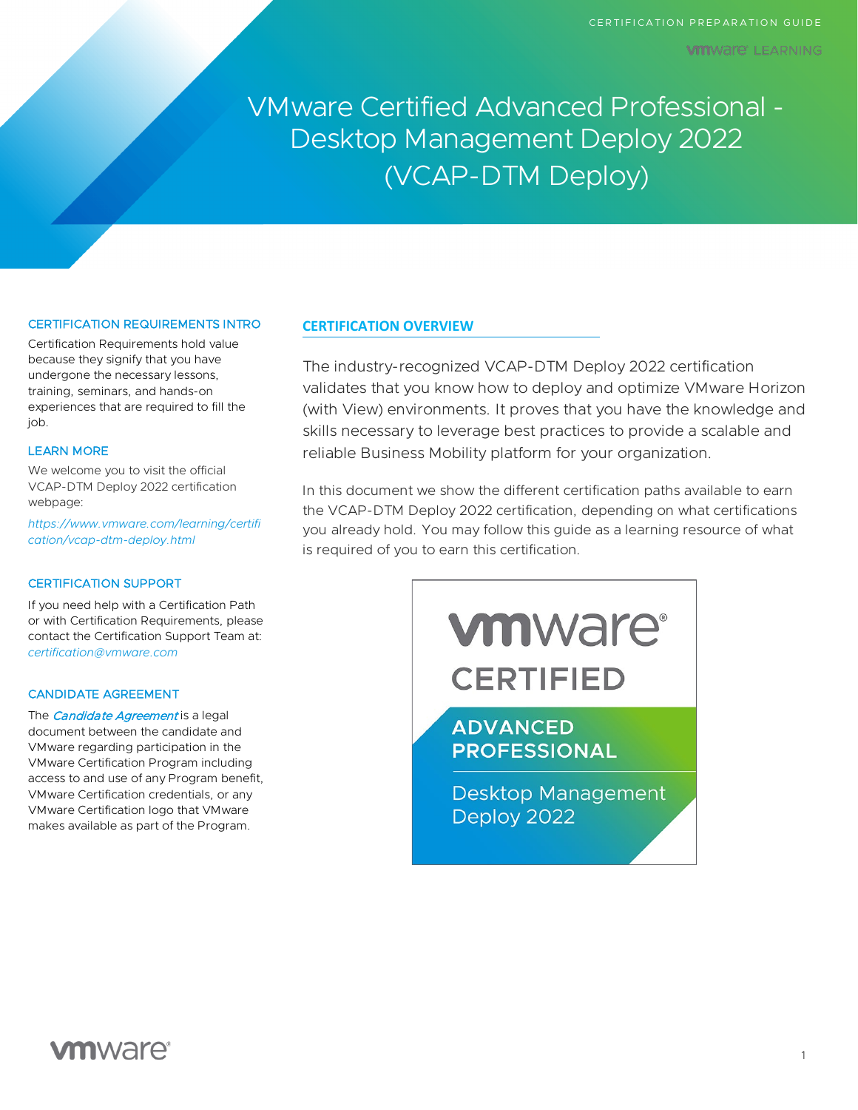VMware Certified Advanced Professional - Desktop Management Deploy 2022 (VCAP-DTM Deploy)

## CERTIFICATION REQUIREMENTS INTRO

Certification Requirements hold value because they signify that you have undergone the necessary lessons, training, seminars, and hands-on experiences that are required to fill the iob.

#### LEARN MORE

We welcome you to visit the official VCAP-DTM Deploy 2022 certification webpage:

*[https://www.vmware.com/learning/certifi](https://www.vmware.com/learning/certification/vcap-dtm-deploy.html) [cation/vcap-dtm-deploy.html](https://www.vmware.com/learning/certification/vcap-dtm-deploy.html)*

#### CERTIFICATION SUPPORT

If you need help with a Certification Path or with Certification Requirements, please contact the Certification Support Team at: *[certification@vmware.com](mailto:certification@vmware.com)*

## CANDIDATE AGREEMENT

The *[Candidate Agreement](https://www.vmware.com/content/dam/digitalmarketing/vmware/en/pdf/certification/vmw-certification-candidate-agreement.pdf)* is a legal document between the candidate and VMware regarding participation in the VMware Certification Program including access to and use of any Program benefit, VMware Certification credentials, or any VMware Certification logo that VMware makes available as part of the Program.

## **CERTIFICATION OVERVIEW**

The industry-recognized VCAP-DTM Deploy 2022 certification validates that you know how to deploy and optimize VMware Horizon (with View) environments. It proves that you have the knowledge and skills necessary to leverage best practices to provide a scalable and reliable Business Mobility platform for your organization.

In this document we show the different certification paths available to earn the VCAP-DTM Deploy 2022 certification, depending on what certifications you already hold. You may follow this guide as a learning resource of what is required of you to earn this certification.



# **vm**ware<sup>®</sup>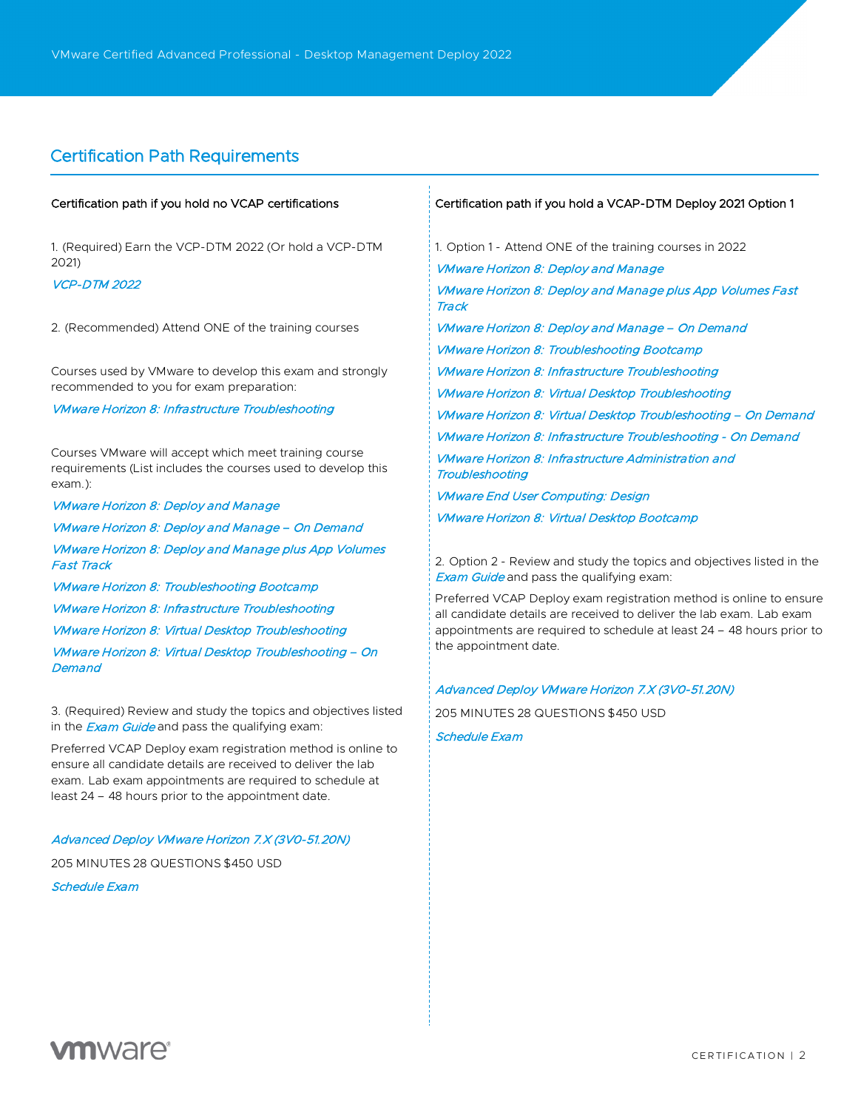## Certification Path Requirements

## Certification path if you hold no VCAP certifications

1. (Required) Earn the VCP-DTM 2022 (Or hold a VCP-DTM 2021)

## [VCP-DTM 2022](https://www.vmware.com/learning/certification/vcp-dtm.html)

2. (Recommended) Attend ONE of the training courses

Courses used by VMware to develop this exam and strongly recommended to you for exam preparation:

#### [VMware Horizon 8: Infrastructure Troubleshooting](https://mylearn.vmware.com/mgrReg/courses.cfm?ui=www_edu&a=one&id_subject=95663)

Courses VMware will accept which meet training course requirements (List includes the courses used to develop this exam.):

[VMware Horizon 8: Deploy and Manage](https://mylearn.vmware.com/mgrReg/courses.cfm?ui=www_edu&a=one&id_subject=94470) [VMware Horizon 8: Deploy and Manage – On Demand](https://mylearn.vmware.com/mgrReg/courses.cfm?ui=www_edu&a=one&id_subject=95177) [VMware Horizon 8: Deploy and Manage plus App Volumes](https://mylearn.vmware.com/mgrReg/courses.cfm?ui=www_edu&a=one&id_subject=94718)  [Fast Track](https://mylearn.vmware.com/mgrReg/courses.cfm?ui=www_edu&a=one&id_subject=94718) [VMware Horizon 8: Troubleshooting Bootcamp](https://mylearn.vmware.com/mgrReg/courses.cfm?ui=www_edu&a=one&id_subject=95699) [VMware Horizon 8: Infrastructure Troubleshooting](https://mylearn.vmware.com/mgrReg/courses.cfm?ui=www_edu&a=one&id_subject=95663)

[VMware Horizon 8: Virtual Desktop Troubleshooting](https://mylearn.vmware.com/mgrReg/courses.cfm?ui=www_edu&a=one&id_subject=94481)

[VMware Horizon 8: Virtual Desktop Troubleshooting – On](https://mylearn.vmware.com/mgrReg/courses.cfm?ui=www_edu&a=one&id_subject=95193)  **[Demand](https://mylearn.vmware.com/mgrReg/courses.cfm?ui=www_edu&a=one&id_subject=95193)** 

3. (Required) Review and study the topics and objectives listed in the **[Exam Guide](https://www.vmware.com/content/dam/digitalmarketing/vmware/en/pdf/certification/vmware-vcap-dtm-deploy-exam-preparation-guide.pdf)** and pass the qualifying exam:

Preferred VCAP Deploy exam registration method is online to ensure all candidate details are received to deliver the lab exam. Lab exam appointments are required to schedule at least 24 – 48 hours prior to the appointment date.

### [Advanced Deploy VMware Horizon 7.X \(3V0-51.20N\)](https://www.vmware.com/education-services/certification/vcap-dtm-deploy-7-exam.html)

205 MINUTES 28 QUESTIONS \$450 USD

[Schedule Exam](http://mylearn.vmware.com/quiz.cfm?item=98329)

#### Certification path if you hold a VCAP-DTM Deploy 2021 Option 1

1. Option 1 - Attend ONE of the training courses in 2022 [VMware Horizon 8: Deploy and Manage](https://mylearn.vmware.com/mgrReg/courses.cfm?ui=www_edu&a=one&id_subject=94470) [VMware Horizon 8: Deploy and Manage plus App Volumes Fast](https://mylearn.vmware.com/mgrReg/courses.cfm?ui=www_edu&a=one&id_subject=94718)  **[Track](https://mylearn.vmware.com/mgrReg/courses.cfm?ui=www_edu&a=one&id_subject=94718)** [VMware Horizon 8: Deploy and Manage – On Demand](https://mylearn.vmware.com/mgrReg/courses.cfm?ui=www_edu&a=one&id_subject=95177) [VMware Horizon 8: Troubleshooting Bootcamp](https://mylearn.vmware.com/mgrReg/courses.cfm?ui=www_edu&a=one&id_subject=95699) [VMware Horizon 8: Infrastructure Troubleshooting](https://mylearn.vmware.com/mgrReg/courses.cfm?ui=www_edu&a=one&id_subject=95663) [VMware Horizon 8: Virtual Desktop Troubleshooting](https://mylearn.vmware.com/mgrReg/courses.cfm?ui=www_edu&a=one&id_subject=94481) [VMware Horizon 8: Virtual Desktop Troubleshooting – On Demand](https://mylearn.vmware.com/mgrReg/courses.cfm?ui=www_edu&a=one&id_subject=95193) [VMware Horizon 8: Infrastructure Troubleshooting - On Demand](https://mylearn.vmware.com/mgrReg/courses.cfm?ui=www_edu&a=one&id_subject=96040) [VMware Horizon 8: Infrastructure Administration and](https://mylearn.vmware.com/mgrReg/courses.cfm?ui=www_edu&a=one&id_subject=97133)  **[Troubleshooting](https://mylearn.vmware.com/mgrReg/courses.cfm?ui=www_edu&a=one&id_subject=97133)** [VMware End User Computing: Design](https://mylearn.vmware.com/mgrReg/courses.cfm?ui=www_edu&a=one&id_subject=97826)

[VMware Horizon 8: Virtual Desktop Bootcamp](https://mylearn.vmware.com/mgrReg/courses.cfm?ui=www_edu&a=one&id_subject=94486)

2. Option 2 - Review and study the topics and objectives listed in the **[Exam Guide](https://www.vmware.com/content/dam/digitalmarketing/vmware/en/pdf/certification/vmware-vcap-dtm-deploy-exam-preparation-guide.pdf)** and pass the qualifying exam:

Preferred VCAP Deploy exam registration method is online to ensure all candidate details are received to deliver the lab exam. Lab exam appointments are required to schedule at least 24 – 48 hours prior to the appointment date.

## [Advanced Deploy VMware Horizon 7.X \(3V0-51.20N\)](https://www.vmware.com/education-services/certification/vcap-dtm-deploy-7-exam.html)

205 MINUTES 28 QUESTIONS \$450 USD

### [Schedule Exam](http://mylearn.vmware.com/quiz.cfm?item=98329)

**vm**ware<sup>®</sup>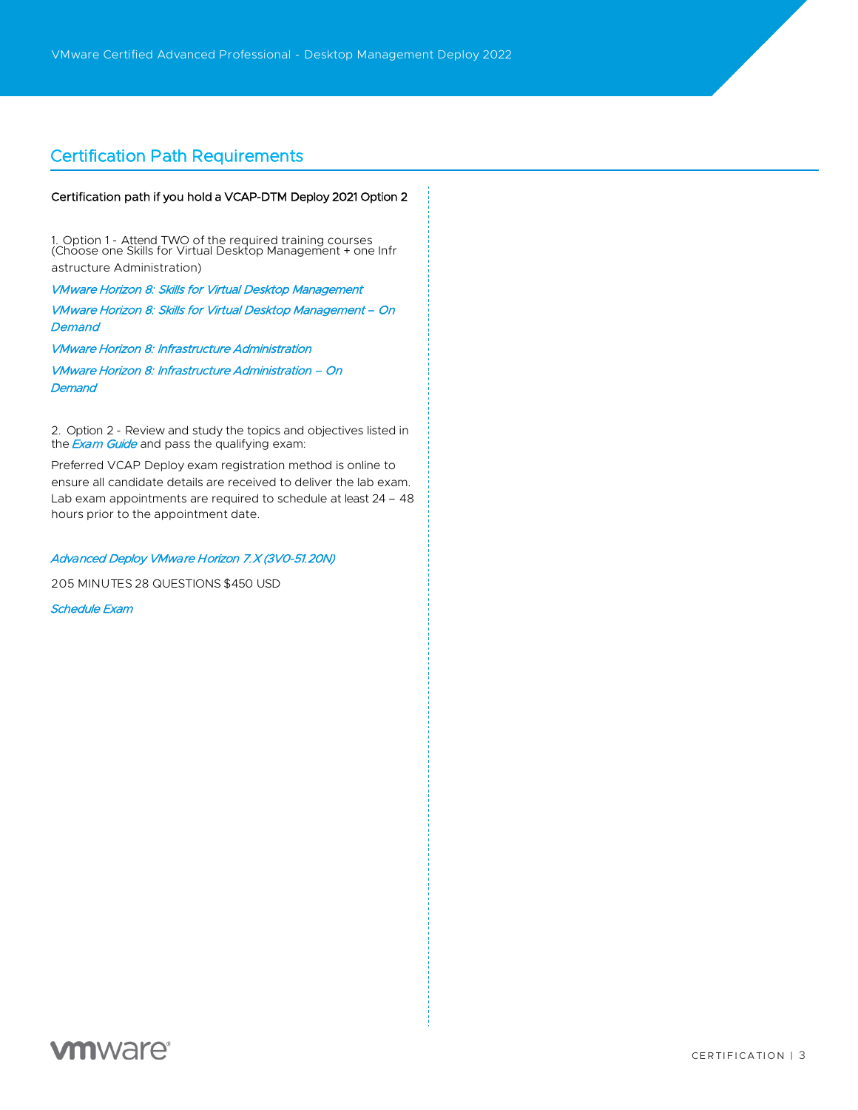## Certification Path Requirements

## Certification path if you hold a VCAP-DTM Deploy 2021 Option 2

1. Option 1 - Attend TWO of the required training courses (Choose one Skills for Virtual Desktop Management + one Infr

astructure Administration)

VMware Horizon 8: Skills for Virtual Desktop Management

[VMware Horizon 8: Skills for Virtual Desktop Management – O](https://mylearn.vmware.com/mgrReg/courses.cfm?ui=www_edu&a=one&id_subject=94475)n **[Demand](https://mylearn.vmware.com/mgrReg/courses.cfm?ui=www_edu&a=one&id_subject=95180)** 

[VMware Horiz](https://mylearn.vmware.com/mgrReg/courses.cfm?ui=www_edu&a=one&id_subject=95180)on 8: Infrastructure Administration

[VMware Horizon 8: Infrastructure Administration – O](https://mylearn.vmware.com/mgrReg/courses.cfm?ui=www_edu&a=one&id_subject=94478)n **[Demand](https://mylearn.vmware.com/mgrReg/courses.cfm?ui=www_edu&a=one&id_subject=95183)** 

2. Option 2 - Review and study the topics and objectives listed in the **Exam Guide** and pass the qualifying exam:

Prefe[rred VCAP De](https://www.vmware.com/content/dam/digitalmarketing/vmware/en/pdf/certification/vmware-vcap-dtm-deploy-exam-preparation-guide.pdf)ploy exam registration method is online to ensure all candidate details are received to deliver the lab exam. Lab exam appointments are required to schedule at least 24 – 48 hours prior to the appointment date.

## Advanced Deploy VMware Horizon 7.X (3V0-51.20N)

205 MINUTES [28 QUESTIONS](https://www.vmware.com/education-services/certification/vcap-dtm-deploy-7-exam.html) \$450 USD

Schedule Exam

**vm**ware<sup>®</sup>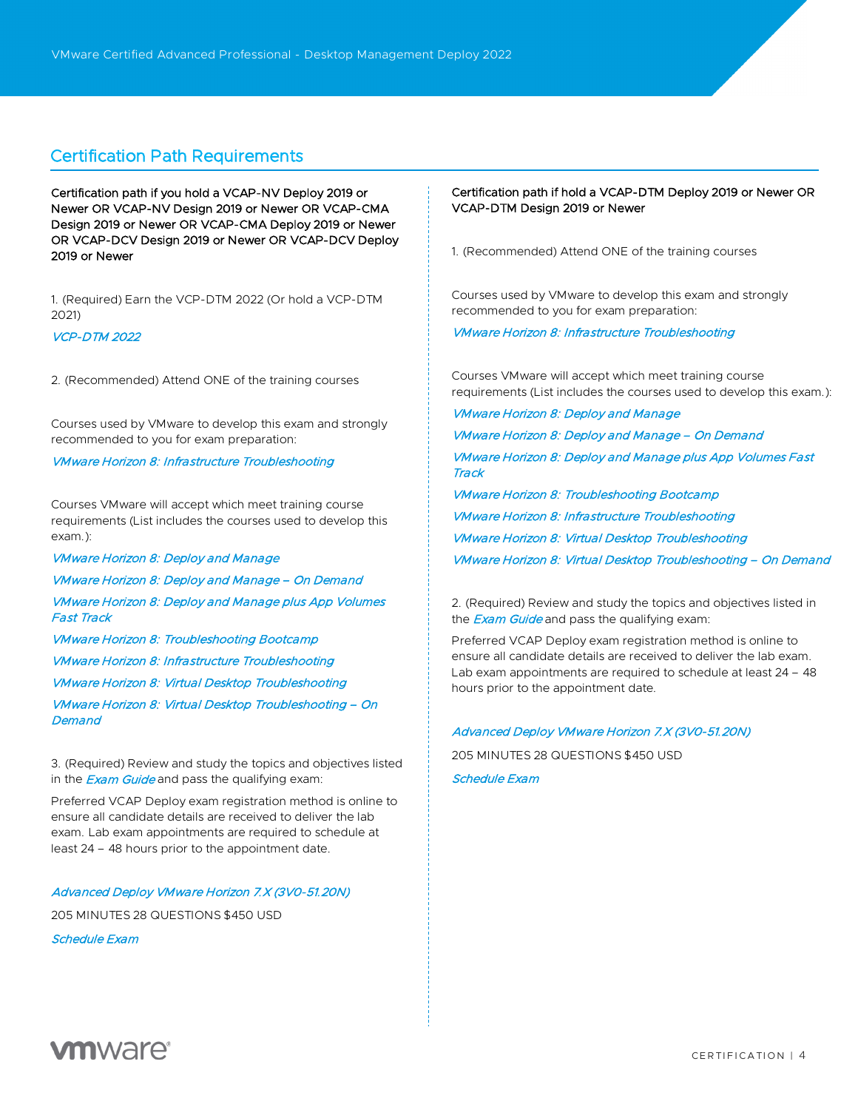## Certification Path Requirements

Certification path if you hold a VCAP-NV Deploy 2019 or Newer OR VCAP-NV Design 2019 or Newer OR VCAP-CMA Design 2019 or Newer OR VCAP-CMA Deploy 2019 or Newer OR VCAP-DCV Design 2019 or Newer OR VCAP-DCV Deploy 2019 or Newer

1. (Required) Earn the VCP-DTM 2022 (Or hold a VCP-DTM 2021)

### [VCP-DTM 2022](https://www.vmware.com/learning/certification/vcp-dtm.html)

2. (Recommended) Attend ONE of the training courses

Courses used by VMware to develop this exam and strongly recommended to you for exam preparation:

## [VMware Horizon 8: Infrastructure Troubleshooting](https://mylearn.vmware.com/mgrReg/courses.cfm?ui=www_edu&a=one&id_subject=95663)

Courses VMware will accept which meet training course requirements (List includes the courses used to develop this exam.):

[VMware Horizon 8: Deploy and Manage](https://mylearn.vmware.com/mgrReg/courses.cfm?ui=www_edu&a=one&id_subject=94470) [VMware Horizon 8: Deploy and Manage – On Demand](https://mylearn.vmware.com/mgrReg/courses.cfm?ui=www_edu&a=one&id_subject=95177) [VMware Horizon 8: Deploy and Manage plus App Volumes](https://mylearn.vmware.com/mgrReg/courses.cfm?ui=www_edu&a=one&id_subject=94718)  [Fast Track](https://mylearn.vmware.com/mgrReg/courses.cfm?ui=www_edu&a=one&id_subject=94718)

[VMware Horizon 8: Troubleshooting Bootcamp](https://mylearn.vmware.com/mgrReg/courses.cfm?ui=www_edu&a=one&id_subject=95699)

[VMware Horizon 8: Infrastructure Troubleshooting](https://mylearn.vmware.com/mgrReg/courses.cfm?ui=www_edu&a=one&id_subject=95663)

[VMware Horizon 8: Virtual Desktop Troubleshooting](https://mylearn.vmware.com/mgrReg/courses.cfm?ui=www_edu&a=one&id_subject=94481)

[VMware Horizon 8: Virtual Desktop Troubleshooting – On](https://mylearn.vmware.com/mgrReg/courses.cfm?ui=www_edu&a=one&id_subject=95193)  **[Demand](https://mylearn.vmware.com/mgrReg/courses.cfm?ui=www_edu&a=one&id_subject=95193)** 

3. (Required) Review and study the topics and objectives listed in the **[Exam Guide](https://www.vmware.com/content/dam/digitalmarketing/vmware/en/pdf/certification/vmware-vcap-dtm-deploy-exam-preparation-guide.pdf)** and pass the qualifying exam:

Preferred VCAP Deploy exam registration method is online to ensure all candidate details are received to deliver the lab exam. Lab exam appointments are required to schedule at least 24 – 48 hours prior to the appointment date.

#### [Advanced Deploy VMware Horizon 7.X \(3V0-51.20N\)](https://www.vmware.com/education-services/certification/vcap-dtm-deploy-7-exam.html)

205 MINUTES 28 QUESTIONS \$450 USD

[Schedule Exam](http://mylearn.vmware.com/quiz.cfm?item=98329)

## Certification path if hold a VCAP-DTM Deploy 2019 or Newer OR VCAP-DTM Design 2019 or Newer

1. (Recommended) Attend ONE of the training courses

Courses used by VMware to develop this exam and strongly recommended to you for exam preparation:

[VMware Horizon 8: Infrastructure Troubleshooting](https://mylearn.vmware.com/mgrReg/courses.cfm?ui=www_edu&a=one&id_subject=95663)

Courses VMware will accept which meet training course requirements (List includes the courses used to develop this exam.):

[VMware Horizon 8: Deploy and Manage](https://mylearn.vmware.com/mgrReg/courses.cfm?ui=www_edu&a=one&id_subject=94470) [VMware Horizon 8: Deploy and Manage – On Demand](https://mylearn.vmware.com/mgrReg/courses.cfm?ui=www_edu&a=one&id_subject=95177)

[VMware Horizon 8: Deploy and Manage plus App Volumes Fast](https://mylearn.vmware.com/mgrReg/courses.cfm?ui=www_edu&a=one&id_subject=94718)  **[Track](https://mylearn.vmware.com/mgrReg/courses.cfm?ui=www_edu&a=one&id_subject=94718)** 

[VMware Horizon 8: Troubleshooting Bootcamp](https://mylearn.vmware.com/mgrReg/courses.cfm?ui=www_edu&a=one&id_subject=95699) [VMware Horizon 8: Infrastructure Troubleshooting](https://mylearn.vmware.com/mgrReg/courses.cfm?ui=www_edu&a=one&id_subject=95663) [VMware Horizon 8: Virtual Desktop Troubleshooting](https://mylearn.vmware.com/mgrReg/courses.cfm?ui=www_edu&a=one&id_subject=94481) [VMware Horizon 8: Virtual Desktop Troubleshooting – On Demand](https://mylearn.vmware.com/mgrReg/courses.cfm?ui=www_edu&a=one&id_subject=95193)

2. (Required) Review and study the topics and objectives listed in the **[Exam Guide](https://www.vmware.com/content/dam/digitalmarketing/vmware/en/pdf/certification/vmware-vcap-dtm-deploy-exam-preparation-guide.pdf)** and pass the qualifying exam:

Preferred VCAP Deploy exam registration method is online to ensure all candidate details are received to deliver the lab exam. Lab exam appointments are required to schedule at least 24 – 48 hours prior to the appointment date.

## [Advanced Deploy VMware Horizon 7.X \(3V0-51.20N\)](https://www.vmware.com/education-services/certification/vcap-dtm-deploy-7-exam.html)

205 MINUTES 28 QUESTIONS \$450 USD

[Schedule Exam](http://mylearn.vmware.com/quiz.cfm?item=98329)